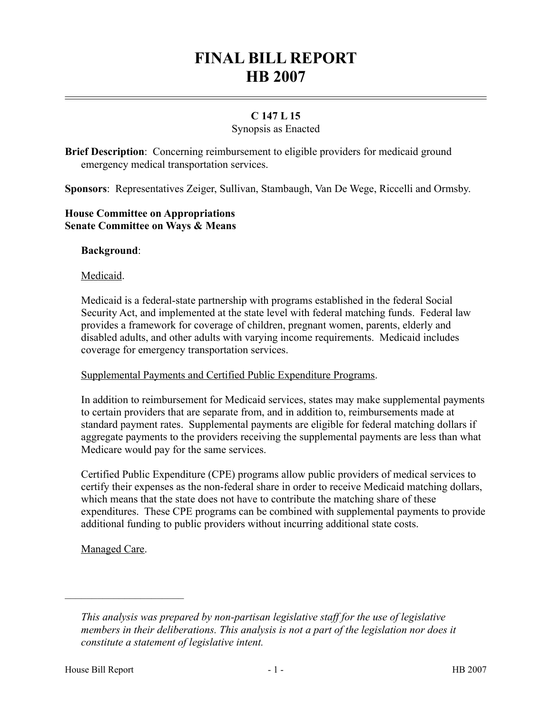# **FINAL BILL REPORT HB 2007**

## **C 147 L 15**

#### Synopsis as Enacted

**Brief Description**: Concerning reimbursement to eligible providers for medicaid ground emergency medical transportation services.

**Sponsors**: Representatives Zeiger, Sullivan, Stambaugh, Van De Wege, Riccelli and Ormsby.

### **House Committee on Appropriations Senate Committee on Ways & Means**

#### **Background**:

#### Medicaid.

Medicaid is a federal-state partnership with programs established in the federal Social Security Act, and implemented at the state level with federal matching funds. Federal law provides a framework for coverage of children, pregnant women, parents, elderly and disabled adults, and other adults with varying income requirements. Medicaid includes coverage for emergency transportation services.

#### Supplemental Payments and Certified Public Expenditure Programs.

In addition to reimbursement for Medicaid services, states may make supplemental payments to certain providers that are separate from, and in addition to, reimbursements made at standard payment rates. Supplemental payments are eligible for federal matching dollars if aggregate payments to the providers receiving the supplemental payments are less than what Medicare would pay for the same services.

Certified Public Expenditure (CPE) programs allow public providers of medical services to certify their expenses as the non-federal share in order to receive Medicaid matching dollars, which means that the state does not have to contribute the matching share of these expenditures. These CPE programs can be combined with supplemental payments to provide additional funding to public providers without incurring additional state costs.

Managed Care.

––––––––––––––––––––––

*This analysis was prepared by non-partisan legislative staff for the use of legislative members in their deliberations. This analysis is not a part of the legislation nor does it constitute a statement of legislative intent.*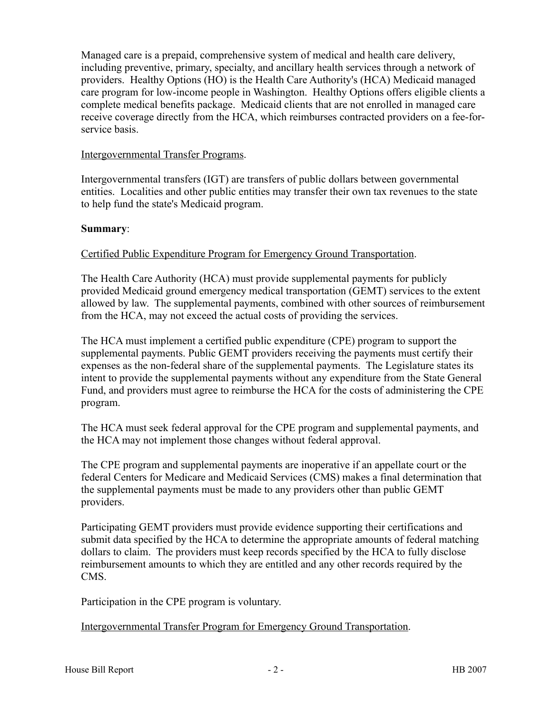Managed care is a prepaid, comprehensive system of medical and health care delivery, including preventive, primary, specialty, and ancillary health services through a network of providers. Healthy Options (HO) is the Health Care Authority's (HCA) Medicaid managed care program for low-income people in Washington. Healthy Options offers eligible clients a complete medical benefits package. Medicaid clients that are not enrolled in managed care receive coverage directly from the HCA, which reimburses contracted providers on a fee-forservice basis.

#### Intergovernmental Transfer Programs.

Intergovernmental transfers (IGT) are transfers of public dollars between governmental entities. Localities and other public entities may transfer their own tax revenues to the state to help fund the state's Medicaid program.

#### **Summary**:

#### Certified Public Expenditure Program for Emergency Ground Transportation.

The Health Care Authority (HCA) must provide supplemental payments for publicly provided Medicaid ground emergency medical transportation (GEMT) services to the extent allowed by law. The supplemental payments, combined with other sources of reimbursement from the HCA, may not exceed the actual costs of providing the services.

The HCA must implement a certified public expenditure (CPE) program to support the supplemental payments. Public GEMT providers receiving the payments must certify their expenses as the non-federal share of the supplemental payments. The Legislature states its intent to provide the supplemental payments without any expenditure from the State General Fund, and providers must agree to reimburse the HCA for the costs of administering the CPE program.

The HCA must seek federal approval for the CPE program and supplemental payments, and the HCA may not implement those changes without federal approval.

The CPE program and supplemental payments are inoperative if an appellate court or the federal Centers for Medicare and Medicaid Services (CMS) makes a final determination that the supplemental payments must be made to any providers other than public GEMT providers.

Participating GEMT providers must provide evidence supporting their certifications and submit data specified by the HCA to determine the appropriate amounts of federal matching dollars to claim. The providers must keep records specified by the HCA to fully disclose reimbursement amounts to which they are entitled and any other records required by the CMS.

Participation in the CPE program is voluntary.

Intergovernmental Transfer Program for Emergency Ground Transportation.